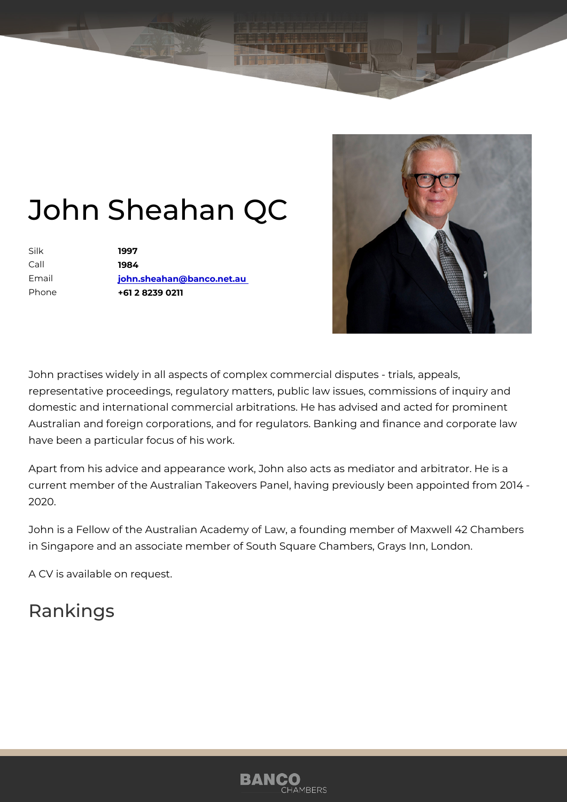## John Sheahan QC

| Silk    | 1997                      |
|---------|---------------------------|
| $C$ all | 1984                      |
| Email   | john.sheahan@banco.net.au |
| Phone   | +61 2 8239 0211           |

John practises widely in all aspects of complex commercial disputes - tri representative proceedings, regulatory matters, public law issues, commi domestic and international commercial arbitrations. He has advised and a Australian and foreign corporations, and for regulators. Banking and fina have been a particular focus of his work.

Apart from his advice and appearance work, John also acts as mediator a current member of the Australian Takeovers Panel, having previously bee 2020.

John is a Fellow of the Australian Academy of Law, a founding member of in Singapore and an associate member of South Square Chambers, Grays

A CV is available on request.

## Rankings